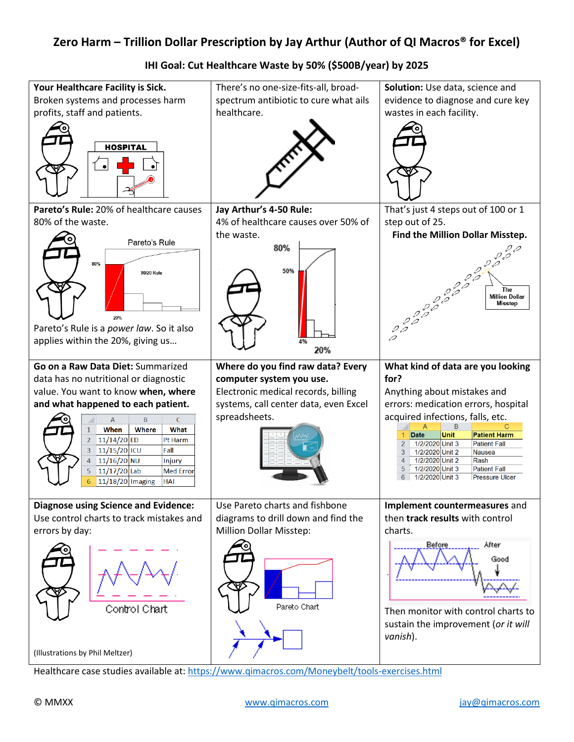## **Zero Harm – Trillion Dollar Prescription by Jay Arthur (Author of QI Macros® for Excel)**



**IHI Goal: Cut Healthcare Waste by 50% (\$500B/year) by 2025**

Healthcare case studies available at:<https://www.qimacros.com/Moneybelt/tools-exercises.html>